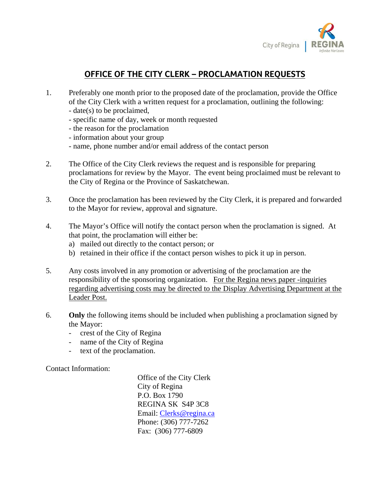

## **OFFICE OF THE CITY CLERK – PROCLAMATION REQUESTS**

- 1. Preferably one month prior to the proposed date of the proclamation, provide the Office of the City Clerk with a written request for a proclamation, outlining the following:
	- date(s) to be proclaimed,
	- specific name of day, week or month requested
	- the reason for the proclamation
	- information about your group
	- name, phone number and/or email address of the contact person
- 2. The Office of the City Clerk reviews the request and is responsible for preparing proclamations for review by the Mayor. The event being proclaimed must be relevant to the City of Regina or the Province of Saskatchewan.
- 3. Once the proclamation has been reviewed by the City Clerk, it is prepared and forwarded to the Mayor for review, approval and signature.
- 4. The Mayor's Office will notify the contact person when the proclamation is signed. At that point, the proclamation will either be:
	- a) mailed out directly to the contact person; or
	- b) retained in their office if the contact person wishes to pick it up in person.
- 5. Any costs involved in any promotion or advertising of the proclamation are the responsibility of the sponsoring organization. For the Regina news paper -inquiries regarding advertising costs may be directed to the Display Advertising Department at the Leader Post.
- 6. **Only** the following items should be included when publishing a proclamation signed by the Mayor:
	- crest of the City of Regina
	- name of the City of Regina
	- text of the proclamation.

Contact Information:

 Office of the City Clerk City of Regina P.O. Box 1790 REGINA SK S4P 3C8 Email: Clerks@regina.ca Phone: (306) 777-7262 Fax: (306) 777-6809